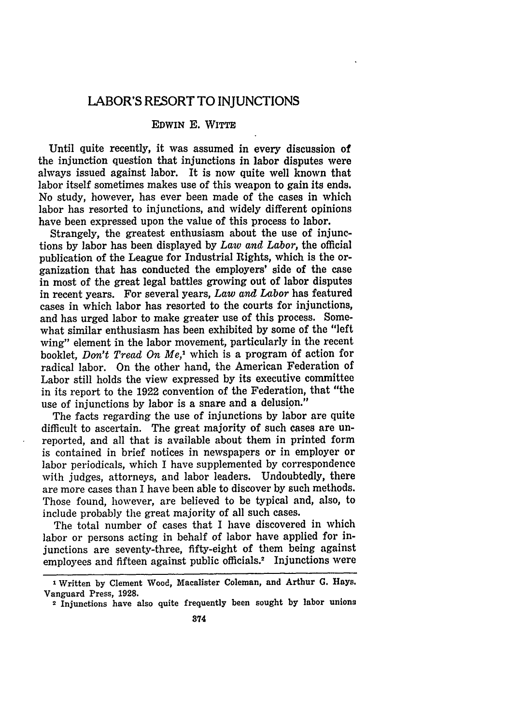## LABOR'S RESORT TO **INJUNCTIONS**

## **EDWIN E. WITTE**

Until quite recently, it was assumed in every discussion of the injunction question that injunctions in labor disputes were always issued against labor. It is now quite well known that labor itself sometimes makes use of this weapon to gain its ends. No study, however, has ever been made of the cases in which labor has resorted to injunctions, and widely different opinions have been expressed upon the value of this process to labor.

Strangely, the greatest enthusiasm about the use of injunctions **by** labor has been displayed **by** *Law and Labor,* the official publication of the League for Industrial Rights, which is the organization that has conducted the employers' side of the case in most of the great legal battles growing out of labor disputes in recent years. For several years, *Law and Labor* has featured cases in which labor has resorted to the courts for injunctions, and has urged labor to make greater use of this process. Somewhat similar enthusiasm has been exhibited **by** some of the "left wing" element in the labor movement, particularly in the recent booklet, *Don't Tread On Me,2* which is a program **of** action for radical labor. On the other hand, the American Federation of Labor still holds the view expressed **by** its executive committee in its report to the **1922** convention of the Federation, that "the use of injunctions **by** labor is a snare and a delusion."

The facts regarding the use of injunctions **by** labor are quite difficult to ascertain. The great majority of such cases are unreported, and all that is available about them in printed form is contained in brief notices in newspapers or in employer or labor periodicals, which I have supplemented **by** correspondence with judges, attorneys, and labor leaders. Undoubtedly, there are more cases than I have been able to discover **by** such methods. Those found, however, are believed to be typical and, also, to include probably the great majority of all such cases.

The total number of cases that I have discovered in which labor or persons acting in behalf of labor have applied for injunctions are seventy-three, fifty-eight of them being against employees and fifteen against public officials.<sup>2</sup> Injunctions were

**<sup>&#</sup>x27;Written by Clement Wood, Macalister Coleman, and Arthur G. Hays. Vanguard Press, 1928.**

<sup>2</sup> **Injunctions have also quite frequently been sought by labor unions**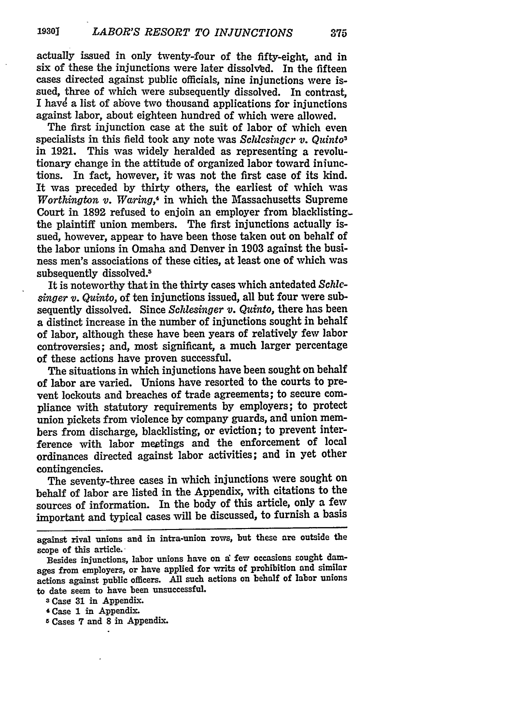actually issued in only twenty-four of the fifty-eight, and in six of these the injunctions were later dissolved. In the fifteen cases directed against public officials, nine injunctions were issued, three of which were subsequently dissolved. In contrast, **I** have a list of above two thousand applications for injunctions against labor, about eighteen hundred of which were allowed.

The first injunction case at the suit of labor of which even specialists in this field took any note was *Scldcsingcr v. Quinto* in **1921.** This was widely heralded as representing a revolutionary change in the attitude of organized labor toward injunctions. In fact, however, it was not the first case of its kind. It was preceded **by** thirty others, the earliest of which was *Worthington v. Waring,'* in which the Massachusetts Supreme Court in **1892** refused to enjoin an employer from blacklistingthe plaintiff union members. The first injunctions actually issued, however, appear to have been those taken out on behalf of the labor unions in Omaha and Denver in **1903** against the business men's associations of these cities, at least one of which was subsequently dissolved.<sup>5</sup>

It is noteworthy that in the thirty cases which antedated *Schlesinger v. Quinto,* of ten injunctions issued, all but four were subsequently dissolved. Since *Schlesinger v. Quinto,* there has been a distinct increase in the number of injunctions sought in behalf of labor, although these have been years of relatively few labor controversies; and, most significant, a much larger percentage of these actions have proven successful.

The situations in which injunctions have been sought on **behalf** of labor are varied. Unions have resorted to the courts to prevent lockouts and breaches of trade agreements; to secure compliance with statutory requirements **by** employers; to protect union pickets from violence **by** company guards, and union members from discharge, blacklisting, or eviction; to prevent interference with labor meetings and the enforcement of local ordinances directed against labor activities; and in yet other contingencies.

The seventy-three cases in which injunctions were sought on behalf of labor are listed in the Appendix, with citations to the sources of information. In the body of this article, only a few important and typical cases will be discussed, to furnish a basis

s Case **31** in Appendix.

aCases **7** and **8** in Appendix.

against rival unions and in intra-union rows, but these are outside the scope of this article.

Besides injunctions, labor unions have on a: few occasions sought damages from employers, or have applied for writs of prohibition and similar actions against public officers. **All** such actions on behalf of labor unions to date seem to have been unsuccessful.

<sup>4</sup> Case 1 in Appendix.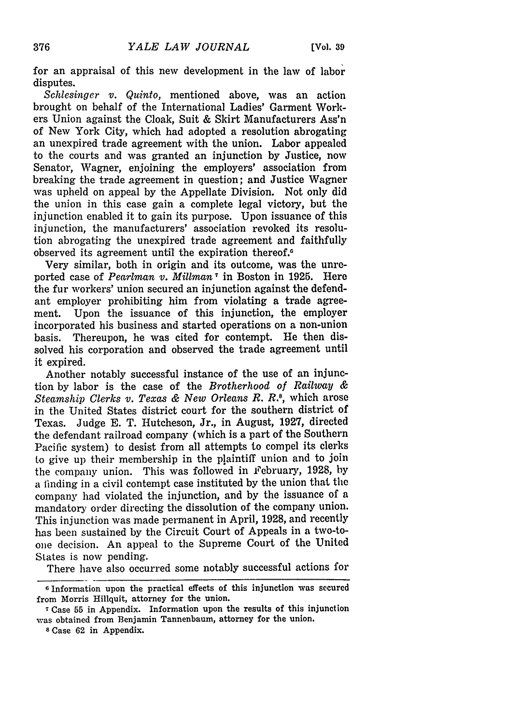for an appraisal of this new development in the law of labor disputes.

*Schlesinger v. Quinto,* mentioned above, was an action brought on behalf of the International Ladies' Garment Workers Union against the Cloak, Suit & Skirt Manufacturers Ass'n of New York City, which had adopted a resolution abrogating an unexpired trade agreement with the union. Labor appealed to the courts and was granted an injunction by Justice, now Senator, Wagner, enjoining the employers' association from breaking the trade agreement in question; and Justice Wagner was upheld on appeal by the Appellate Division. Not only did the union in this case gain a complete legal victory, but the injunction enabled it to gain its purpose. Upon issuance of this injunction, the manufacturers' association revoked its resolution abrogating the unexpired trade agreement and faithfully observed its agreement until the expiration thereof.<sup>6</sup>

Very similar, both in origin and its outcome, was the unreported case of *Pearlman v. Millman 7* in Boston in 1925. Here the fur workers' union secured an injunction against the defendant employer prohibiting him from violating a trade agreement. Upon the issuance of this injunction, the employer incorporated his business and started operations on a non-union basis. Thereupon, he was cited for contempt. He then dissolved his corporation and observed the trade agreement until it expired.

Another notably successful instance of the use of an injunction by labor is the case of the *Brotherhood of Railway & Steamship Clerks v. Texas & New Orleans R. R.8,* which arose in the United States district court for the southern district of Texas. Judge E. T. Hutcheson, Jr., in August, 1927, directed the defendant railroad company (which is a part of the Southern Pacific system) to desist from all attempts to compel its clerks to give up their membership in the plaintiff union and to join the company union. This was followed in February, 1928, by a finding in a civil contempt case instituted by the union that the company had violated the injunction, and by the issuance of a mandatory order directing the dissolution of the company union. This injunction was made permanent in April, 1928, and recently has been sustained by the Circuit Court of Appeals in a two-toone decision. An appeal to the Supreme Court of the United States is now pending.

There have also occurred some notably successful actions for

376

**<sup>6</sup>** Information upon the practical effects of this injunction was secured from Morris Hillquit, attorney for the union.

**<sup>7</sup>** Case 55 in Appendix. Information upon the results of this injunction was obtained from Benjamin Tannenbaum, attorney for the union.

**<sup>8</sup>** Case 62 in Appendix.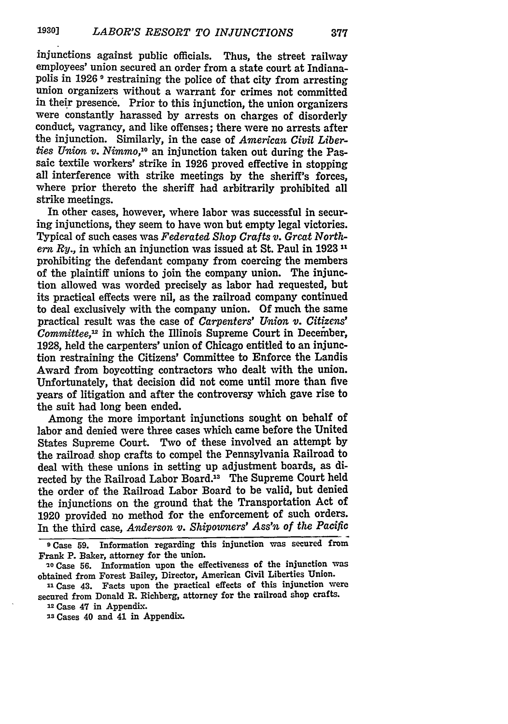377

injunctions against public officials. Thus, the street railway employees' union secured an order from a state court at Indianapolis in 1926 **9** restraining the police of that city from arresting union organizers without a warrant for crimes not committed in their presence. Prior to this injunction, the union organizers were constantly harassed by arrests on charges of disorderly conduct, vagrancy, and like offenses; there were no arrests after the injunction. Similarly, in the case of *American Civil Liberties Union v. Nimmo*,<sup>10</sup> an injunction taken out during the Passaic textile workers' strike in 1926 proved effective in stopping all interference with strike meetings by the sheriff's forces, where prior thereto the sheriff had arbitrarily prohibited all strike meetings.

In other cases, however, where labor was successful in securing injunctions, they seem to have won but empty legal victories. Typical of such cases was *Federated Shop Crafts v. Grcat North* $ern Ry$ ., in which an injunction was issued at St. Paul in 1923<sup>11</sup> prohibiting the defendant company from coercing the members of the plaintiff unions to join the company union. The injunction allowed was worded precisely as labor had requested, but its practical effects were nil, as the railroad company continued to deal exclusively with the company union. Of much the same practical result was the case of *Carpenters' Union v. Citizens' Committee,*<sup>12</sup> in which the Illinois Supreme Court in December, 1928, held the carpenters' union of Chicago entitled to an injunction restraining the Citizens' Committee to Enforce the Landis Award from boycotting contractors who dealt with the union. Unfortunately, that decision did not come until more than five years of litigation and after the controversy which gave rise to the suit had long been ended.

Among the more important injunctions sought on behalf of labor and denied were three cases which came before the United States Supreme Court. Two of these involved an attempt by the railroad shop crafts to compel the Pennsylvania Railroad to deal with these unions in setting up adjustment boards, as directed by the Railroad Labor Board.<sup>13</sup> The Supreme Court held the order of the Railroad Labor Board to be valid, but denied the injunctions on the ground that the Transportation Act of 1920 provided no method for the enforcement of such orders. In the third case, *Anderson v. Shipoumers' Ass'n of the Pacific*

**<sup>9</sup>**Case **59.** Information regarding this injunction was secured from Frank P. Baker, attorney for the union.

**<sup>-0</sup>** Case **56.** Information upon the effectiveness of the injunction was obtained from Forest Bailey, Director, American Civil Liberties Union.

**<sup>-</sup>** Case 43. Facts upon the practical effects of this injunction were secured from Donald **R.** Richberg, attorney for the railroad shop crafts.

**<sup>12</sup>**Case 47 in Appendix.

**<sup>13</sup>**Cases 40 and 41 in Appendix.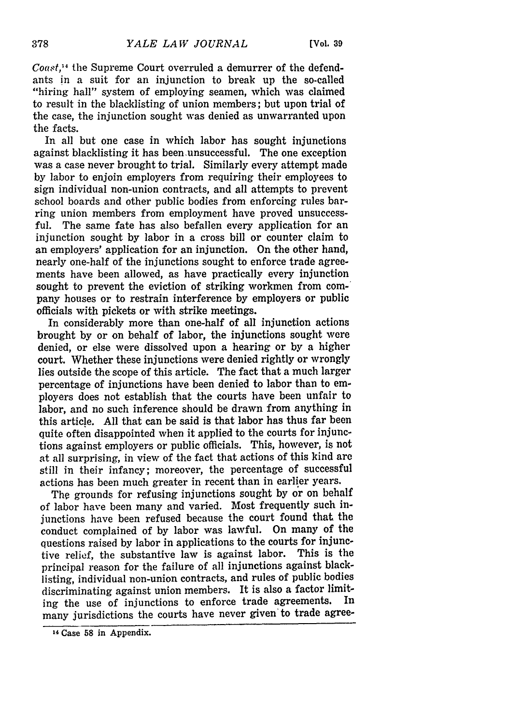*Coast,"4* the Supreme Court overruled a demurrer of the defendants in a suit for an injunction to break up the so-called "hiring hall" system of employing seamen, which was claimed to result in the blacklisting of union members; but upon trial of the case, the injunction sought was denied as unwarranted upon the facts.

In all but one case in which labor has sought injunctions against blacklisting it has been unsuccessful. The one exception was a case never brought to trial. Similarly every attempt made by labor to enjoin employers from requiring their employees to sign individual non-union contracts, and all attempts to prevent school boards and other public bodies from enforcing rules barring union members from employment have proved unsuccessful. The same fate has also befallen every application for an injunction sought by labor in a cross bill or counter claim to an employers' application for an injunction. On the other hand, nearly one-half of the injunctions sought to enforce trade agreements have been allowed, as have practically every injunction sought to prevent the eviction of striking workmen from company houses or to restrain interference by employers or public officials with pickets or with strike meetings.

In considerably more than one-half of all injunction actions brought **by** or on behalf of labor, the injunctions sought were denied, or else were dissolved upon a hearing or by a higher court. Whether these injunctions were denied rightly or wrongly lies outside the scope of this article. The fact that a much larger percentage of injunctions have been denied to labor than to employers does not establish that the courts have been unfair to labor, and no such inference should be drawn from anything in this article. **All** that can be said is that labor has thus far been quite often disappointed when it applied to the courts for injunctions against employers or public officials. This, however, is not at **all** surprising, in view of the fact that actions of this kind are still in their infancy; moreover, the percentage of successful actions has been much greater in recent than in earlier years.

The grounds for refusing injunctions sought by or on behalf of labor have been many and varied. Most frequently such injunctions have been refused because the court found that the conduct complained of **by** labor was lawful. On many of the questions raised by labor in applications to the courts for injunctive relief the substantive law is against labor. This is the tive relief, the substantive law is against labor. principal reason for the failure of all injunctions against blacklisting, individual non-union contracts, and rules of public bodies discriminating against union members. It is also a factor limit-<br>ing the use of injunctions to enforce trade agreements. In ing the use of injunctions to enforce trade agreements. many jurisdictions the courts have never given to trade agree-

**," Case 58** in **Appendix.**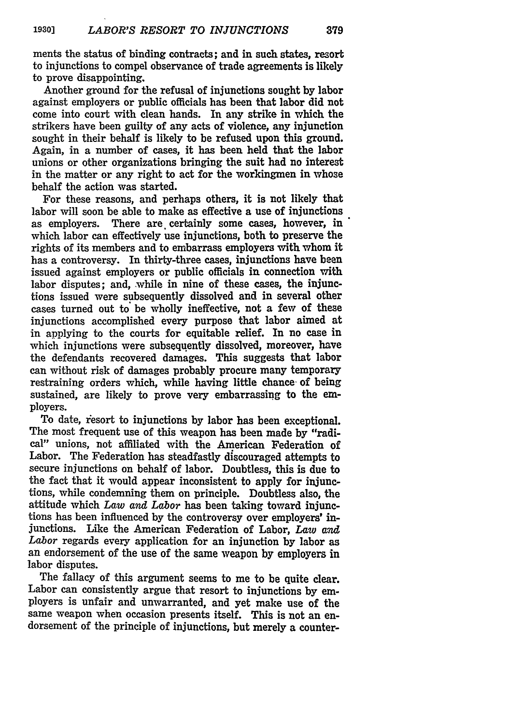ments the status of binding contracts; and in such states, resort to injunctions to compel observance of trade agreements is likely to prove disappointing.

Another ground for the refusal of injunctions sought by labor against employers or public officials has been that labor did not come into court with clean hands. In any strike in which the strikers have been guilty of any acts of violence, any injunction sought in their behalf is likely to be refused upon this ground. Again, in a number of cases, it has been held that the labor unions or other organizations bringing the suit had no interest in the matter or any right to act for the workingmen in whose behalf the action was started.

For these reasons, and perhaps others, it is not likely that labor will soon be able to make as effective a use of injunctions as employers. There are certainly some cases, however, in which labor can effectively use injunctions, both to preserve the rights of its members and to embarrass employers with whom it has a controversy. In thirty-three cases, injunctions have been issued against employers or public officials in connection with labor disputes; and, while in nine of these cases, the injunctions issued were subsequently dissolved and in several other cases turned out to be wholly ineffective, not a few of these injunctions accomplished every purpose that labor aimed at in applying to the courts for equitable relief. In no case in which injunctions were subsequently dissolved, moreover, have the defendants recovered damages. This suggests that labor can without risk of damages probably procure many temporary restraining orders which, while having little chance- of being sustained, are likely to prove very embarrassing to the employers.

To date, resort to injunctions by labor has been exceptional. The most frequent use of this weapon has been made **by** "radical" unions, not affiliated with the American Federation of Labor. The Federation has steadfastly discouraged attempts to secure injunctions on behalf of labor. Doubtless, this is due to the fact that it would appear inconsistent to apply for injunctions, while condemning them on principle. Doubtless also, the attitude which *Law and Labor* has been taking toward injunctions has been influenced **by** the controversy over employers' injunctions. Like the American Federation of Labor, *Law and Labor* regards every application for an injunction **by** labor as an endorsement of the use of the **same** weapon **by** employers in labor disputes.

The fallacy of this argument seems to me to be quite clear. Labor can consistently argue that resort to injunctions **by** employers is unfair and unwarranted, and yet make use of the same weapon when occasion presents itself. This is not an endorsement of the principle of injunctions, but merely a counter-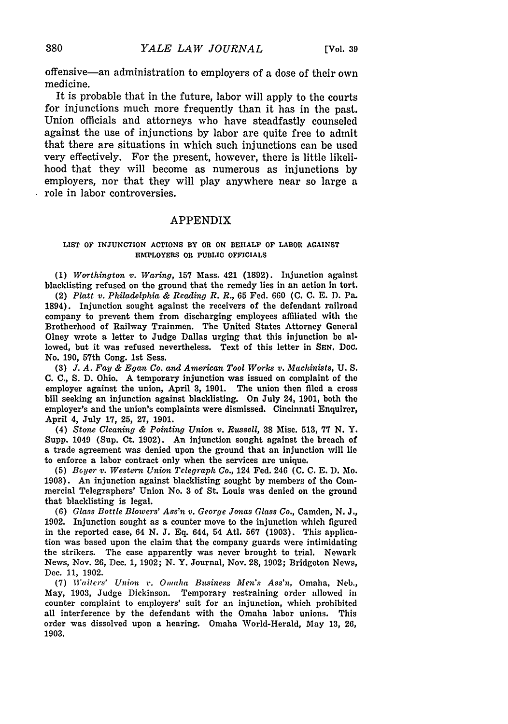offensive-an administration to employers of a dose of their own medicine.

It is probable that in the future, labor will apply to the courts for injunctions much more frequently than it has in the past. Union officials and attorneys who have steadfastly counseled against the use of injunctions by labor are quite free to admit that there are situations in which such injunctions can be used very effectively. For the present, however, there is little likelihood that they will become as numerous as injunctions by employers, nor that they will play anywhere near so large a role in labor controversies.

## APPENDIX

## LIST OF **INJUNCTION** ACTIONS **BY OR ON BEIHALF OF LABOR AGAINST EMPLOYERS OR PUBLIC OFFICIALS**

**(1)** *Worthington v. Waring,* **157** Mass. 421 **(1892).** Injunction against blacklisting refused on the ground that the remedy lies in an action in tort.

(2) *Platt v. Philadelphia & Reading R. R.,* **65 Fed. 660 (C. C. E. D.** Pa. 1894). Injunction sought against the receivers of the defendant railroad company to prevent them from discharging employees affiliated with the Brotherhood of Railway Trainmen. The United States Attorney General Olney wrote a letter to Judge Dallas urging that this injunction **be** allowed, but it was refused nevertheless. Text of this letter in SEN. DOC. No. **190,** 57th Cong. **1st** Sess.

**(3)** *J. A. Fay & Egan Co. and American Tool Works v. Machinists,* **U. S. C. C.,** S. D. Ohio. A temporary injunction was issued on complaint of the employer against the union, April **3,** 1901. The union then filed a cross bill seeking an injunction against blacklisting. On July 24, 1901, both the employer's and the union's complaints were dismissed. Cincinnati Enquirer, April 4, July 17, **25,** 27, 1901.

(4) *Stone Cleaning & Pointing Union v. Russell,* **38** Misc. 513, 77 N. Y. Supp. 1049 (Sup. Ct. 1902). An injunction sought against the breach of a trade agreement was denied upon the ground that an injunction will lie to enforce a labor contract only when the services are unique.

(5) *Boyer v. Western Union Telegraph Co.,* 124 Fed. 246 **(C. C.** E. **D.** Mo. 1903). An injunction against blacklisting sought by members of the Commercial Telegraphers' Union No. 3 of St. Louis was denied on the ground that blacklisting is legal.

(6) *Glass Bottle Blowers' Ass'n v. George Jonas Glass Co.,* Camden, N. *J.,* 1902. Injunction sought as a counter move to the injunction which figured in the reported case, 64 N. J. Eq. 644, 54 Atl. 567 (1903). This application was based upon the claim that the company guards were intimidating the strikers. The case apparently was never brought to trial. Newark News, Nov. 26, Dec. 1, 1902; N. Y. Journal, Nov. **28,** 1902; Bridgeton News, Dec. 11, 1902.

(7) *lVaiters' Union v.* Omaha *Business Men's Ass'n,* Omaha, Neb., May, 1903, Judge Dickinson. Temporary restraining order allowed in counter complaint to employers' suit for an injunction, which prohibited all interference by the defendant with the Omaha labor unions. This order was dissolved upon a hearing. Omaha World-Herald, May 13, 26, 1903.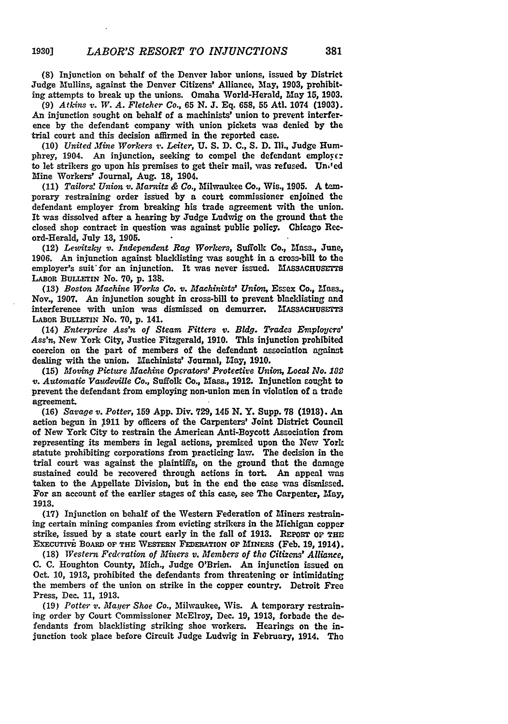**(8)** Injunction on behalf of the Denver labor unions, issued **by** District Judge Mullins, against the Denver Citizens' Alliance, May, **1903,** prohibiting attempts to break up the unions. Omaha World-Herald, May **15, 1903.**

**(9)** *Atkins \*v. W. A. Fletcher Co.,* **65 N. J. Eq. 658, 55** Atl. 1074 **(1903).** An injunction sought on behalf of a machinists' union to prevent interference **by** the defendant company with union pickets was denied **by** the trial court and this decision affirmed in the reported case.

**(10)** *United Mine Workers t. Leiter,* **U. S. D. C., S. D.** IMI., Judge Humphrey, 1904. An injunction, seeking to compel the defendant employer to let strikers go upon his premises to get their mail, was refused. Unded Mine Workers' Journal, Aug. **18,** 1904.

(11) *Tailors! Union v. Marnitz & Co.,* Milwaukee Co., Wis., **1905.** A temporary restraining order issued **by** a court commissioner enjoined the defendant employer from breaking his trade agreement with the union. It was dissolved after a hearing **by** Judge Ludwig on the ground that the closed shop contract in question was against public policy. Chicago Record-Herald, July **13, 1905.**

(12) *Lewitzky v. Independent Rag Workers,* Suffolk Co., Mass., June, 1906. An injunction against blacklisting was sought in a cross-bill to the employer's suit for an injunction. It was never issued. MASSACHUSETTS LABOR **BULLETIN** No. **70, p. 138.**

**(13)** *Boston Machine Works Co. v. Machinists' Union,* Essex Co., Mass., Nov., **1907.** An injunction sought in cross-bill to prevent blacklisting **and** interference with union was dismissed on demurrer. MASSACHUSETTS **LABOR** BULLETIN No. 70, **p.** 141.

(14) *Enterprize Ass'n of Steam Fitters v. Bldg. Trades Employers' Ass'n,* New York City, Justice Fitzgerald, 1910. This injunction prohibited coercion on the part of members of the defendant association against dealing with the union. Machinists' Journal, May, **1910.**

**(15)** *Moving Picture Machine Operators' Protective Union, Local No. 18 v. Automatic Vaudeville Co.,* Suffolk **Co.,** Mass., **1912.** Injunction sought to prevent the defendant from employing non-union men in violation of a trade agreement.

**(16)** *Savage v. Potter,* **159 App.** Div. **729,** 145 **N.** Y. Supp. **78 (1918). An** action begun in **1911 by** officers of the Carpenters' Joint District Council of New York City to restrain the American Anti-Boycott Association from representing its members in legal actions, premised upon the New York statute prohibiting corporations from practicing law. The decision in the trial court was against the plaintiffs, on the ground that the damage sustained could be recovered through actions in tort. An appeal was taken to the Appellate Division, but in the end the case was dismissed. For an account of the earlier stages of this case, see The Carpenter, May, **1913.**

**(17)** Injunction on behalf of the Western Federation of Miners restraining certain mining companies from evicting strikers in the Michigan copper strike, issued by a state court early in the fall of 1913. REPORT OF THE EXECUTIVE BOARD OF THE WESTERN FEDERATION OF MINERS (Feb. 19, 1914).

**(18)** *Western Fedcration of Miners v. Members of the Citizens' Alliance,* **C. C.** Houghton County, Mich., Judge O'Brien. An injunction issued on Oct. **10, 1913,** prohibited the defendants from threatening or intimidating the members of the union on strike in the copper country. Detroit Free Press, Dec. 11, 1913.

**(19)** *Potter v. Mayer Shoe Co.,* Milwaukee, Wis. **A** temporary restraining order by Court Commissioner McElroy, Dec. **19, 1913,** forbade the defendants from blacklisting striking shoe workers. Hearings on the injunction took place before Circuit Judge Ludwig in February, 1914. Tho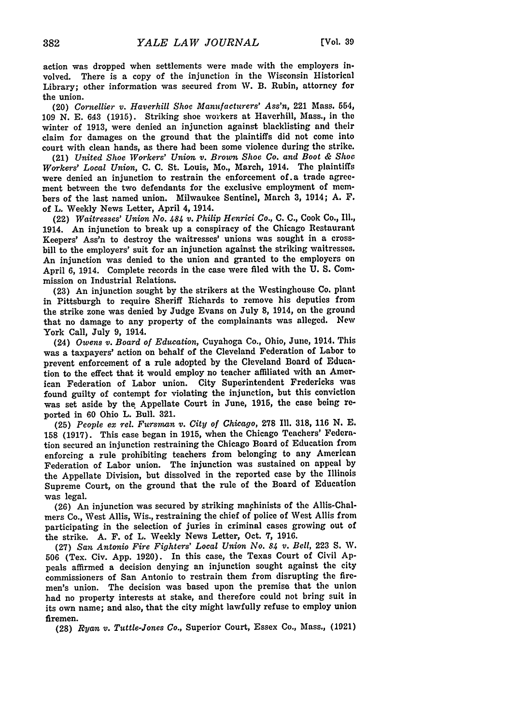action was dropped when settlements were made with the employers involved. There is a copy of the injunction in the Wisconsin Historical Library; other information was secured from W. **B.** Rubin, attorney for the union.

(20) *Cornellier v. Haverhill Shoe Manufacturers' Ass'n,* 221 Mass. 554, 109 N. E. 643 (1915). Striking shoe workers at Haverhill, Mass., in the winter of 1913, were denied an injunction against blacklisting and their claim for damages on the ground that the plaintiffs did not come into court with clean hands, as there had been some violence during the strike.

(21) *United Shoe Workers' Union v. Brown Shoe Co. and Boot & Shoe Workers' Local Union,* **C. C.** St. Louis, Mo., March, 1914. The plaintiffs were denied an injunction to restrain the enforcement of.a trade agreement between the two defendants for the exclusive employment of members of the last named union. Milwaukee Sentinel, March **3,** 1914; A. **F.** of L. Weekly News Letter, April 4, 1914.

(22) *Waitresses' Union No. 484 v. Philip Henrici Co.,* **C. C.,** Cook Co., Ill., 1914. An injunction to break up a conspiracy of the Chicago Restaurant Keepers' Ass'n to destroy the waitresses' unions was sought in a crossbill to the employers' suit for an injunction against the striking waitresses. An injunction was denied to the union and granted to the employers on April 6, 1914. Complete records in the case were filed with the U. **S.** Commission on Industrial Relations.

(23) An injunction sought by the strikers at the Westinghouse Co. plant in Pittsburgh to require Sheriff Richards to remove his deputies from the strike zone was denied by Judge Evans on July **8,** 1914, on the ground that no damage to any property of the complainants was alleged. New York Call, July 9, 1914.

(24) *Owens v. Board of Education,* Cuyahoga Co., Ohio, June, 1914. This was a taxpayers' action on behalf of the Cleveland Federation of Labor to prevent enforcement of a rule adopted by the Cleveland Board of Education to the effect that it would employ no teacher affiliated with an American Federation of Labor union. City Superintendent Fredericks was found guilty of contempt for violating the injunction, but this conviction was set aside **by** the Appellate Court in June, **1915,** the case being reported in **60** Ohio L. Bull. **321.**

**(25)** *People ex rel. Fursnan v. City of Chicago,* **278 111. 318,** 116 **N. E. 158** (1917). This case began in 1915, when the Chicago Teachers' Federation secured an injunction restraining the Chicago Board of Education from enforcing a rule prohibiting teachers from belonging to any American Federation of Labor union. The injunction was sustained on appeal by the Appellate Division, but dissolved in the reported case by the Illinois Supreme Court, on the ground that the rule of the Board of Education was legal.

(26) An injunction was secured by striking machinists of the Allis-Chalmers Co., West Allis, Wis., restraining the chief of police of West Allis from participating in the selection of juries in criminal cases growing out of the strike. **A.** F. of L. Weekly News Letter, Oct. **7, 1916.**

**(27)** *San Antonio Fire Fighters' Local Union No. 84 v. Bell,* **223 S. W. 506** (Tex. Civ. App. 1920). In this case, the Texas Court of Civil Appeals affirmed a decision denying an injunction sought against the city commissioners of San Antonio to restrain them from disrupting the firemen's union. The decision was based upon the premise that the union had no property interests at stake, and therefore could not bring suit in its own name; and also, that the city might lawfully refuse to employ union firemen.

(28) *Ryan v. Tuttle-Jones Co.,* Superior Court, Essex Co., Mass., (1921)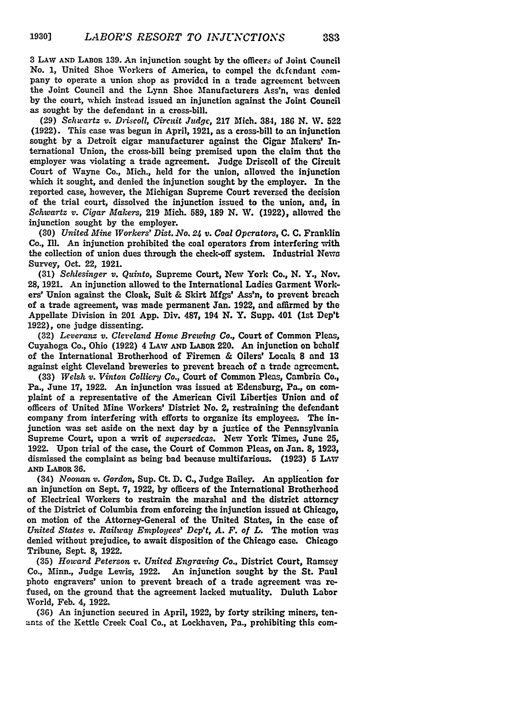**3** LAW **AND LABOR 139.** An injunction sought **by** the officers **of** Joint Council No. 1, United Shoe Workers of America, to compel the defendant company to operate a union shop as providcd in a trade agreement between the Joint Council and the Lynn Shoe Manufacturers Ass'n, was denied **by** the court, which instead issued an injunction against the Joint Council as sought **by** the defendant in a cross-bill.

**(29)** *Schwartz v. Driscoll, Circuit Judge,* **217** Mich. 384, **186 N.** *W.* **522 (1922).** This case was begun in April, **1921,** as a cross-bill to an injunction sought **by** a Detroit cigar manufacturer against the Cigar Makers' International Union, the cross-bill being premised upon the claim that the employer was violating a trade agreement. Judge Driscoll of the Circuit Court of Wayne Co., Mich., held for the union, allowed the injunction which it sought, and denied the injunction sought **by** the employer. In the reported case, however, the Michigan Supreme Court reversed the decision of the trial court, dissolved the injunction issued to the union, and, in *Schwartz v. Cigar Makers,* **219** Mich. **589, 189 N.** W. **(1922),** allowed the injunction sought by the employer.

(30) *United Mine Workers' Dist. No. 24 v. Coal Operators,* **C. C.** Franklin Co., Ill. **An** injunction prohibited the coal operators from interfering with the collection of union dues through the check-off system. Industrial News Survey, Oct. 22, 1921.

(31) *Scldesinger v. Quinto,* Supreme Court, New York Co., **N.** Y., Nov. **28,** 1921. **An** injunction allowed to the International Ladies Garment Workers' Union against the Cloak, Suit & Skirt Mfgs' Ass'n, to prevent breach of a trade agreement, was made permanent Jan. 1922, and affirmed **by** the Appellate Division in 201 **App.** Div. 487, 194 **N.** Y. Supp. 401 (1st **Dep't 1922),** one judge dissenting.

**(32)** *Leveranz v. Cleveland Home Brewing Co.,* Court of Common Pleas, Cuyahoga Co., Ohio **(1922)** 4 **LAW AN** LABOR 220. *An* injunction on behalf of the International Brotherhood of Firemen **&** Oilers' Loeala **8** and **13** against eight Cleveland breweries to prevent breach of a trade agreement.

**(33)** *Welsh v. Vinton Colliery Co.,* Court of Common Pleas, Cambria Co., Pa., June **17, 1922.** An injunction was issued at Edensburg, Pa., on complaint of a representative of the American Civil Liberties Union and of officers of United Mine Workers' District No. 2, restraining the defendant company from interfering with efforts to organize its employees. The injunction was set aside on the next day **by** a justice of the Pennsylvania Supreme Court, upon a writ of *supersedcas.* New York Times, June **25, 1922.** Upon trial of the case, the Court of Common Pleas, on Jan. **8, 1923,** dismissed the complaint as being bad because multifarious. **(1923) 5 LAw AND** LABOR **36.**

(34) *Noonan v. Gordon,* Sup. Ct. **D. C.,** Judge Bailey. An application for an injunction on Sept. **7, 1922, by** officers of the International Brotherhood of Electrical Workers to restrain the marshal and the district attorney of the District of Columbia from enforcing the injunction issued at Chicago, on motion of the Attorney-General of the United States, in the case of *United States v. Railway Employees' Dep't, A. F. of L.* The motion was denied without prejudice, to await disposition of the Chicago case. Chicago Tribune, Sept. **8, 1922.**

**(35)** *Howard Peterson v. United Engraving Co.,* District Court, Ramsey Co., Minn., Judge Lewis, **1922.** An injunction sought **by** the St. Paul photo engravers' union to prevent breach of a trade agreement was refused, on the ground that the agreement lacked mutuality. Duluth Labor World, Feb. 4, **1922.**

**(36)** An injunction secured in April, **1922, by** forty striking miners, tenants of the Kettle Creek Coal Co., at Lockhaven, Pa., prohibiting this com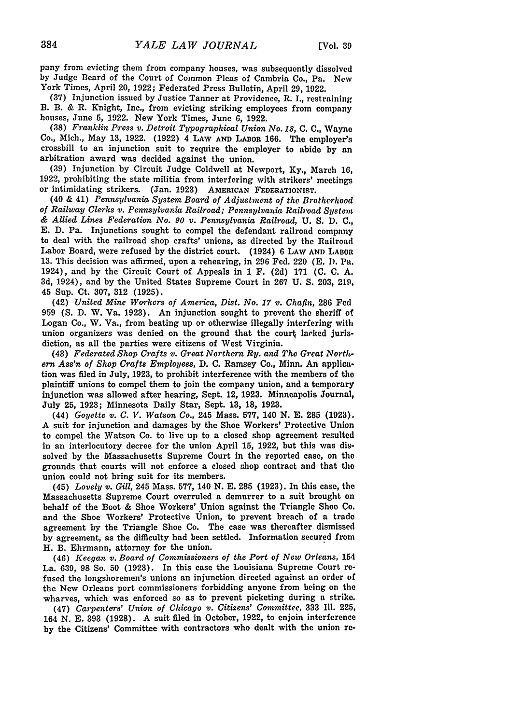pany from evicting them from company houses, was subsequently dissolved by Judge Beard of the Court of Common Pleas of Cambria Co., Pa. New York Times, April 20, 1922; Federated Press Bulletin, April 29, 1922.

(37) Injunction issued by Justice Tanner at Providence, R. I., restraining B. B. & R. Knight, Inc., from evicting striking employees from company houses, June 5, 1922. New York Times, June 6, 1922.

(38) *Franklin Press v. Detroit Typographical Union No. 18,* **C. C.,** Wayne Co., Mich., May 13, 1922. (1922) 4 LAW **AND** LABOR 166. The employer's crossbill to an injunction suit to require the employer to abide **by** an arbitration award was decided against the union.

(39) Injunction by Circuit Judge Coldwell at Newport, **Ky.,** March 16, 1922, prohibiting the state militia from interfering with strikers' meetings or intimidating strikers. (Jan. 1923) **AMERICAN FEDERATIONIST.**

(40 & 41) *Pennsylvania System Board of Adjustment of the Brotherhood of Railway Clerks v. Pennsylvania Railroad; Pennsylvania Railroad System & Allied Lines Federation No. 90 v. Pennsylvania Railroad,* U. S. *D.* C., E. D. Pa. Injunctions sought to compel the defendant railroad company to deal with the railroad shop crafts' unions, as directed by the Railroad Labor Board, were refused by the district court. (1924) 6 LAW **AND** LABOR 13. This decision was affirmed, upon a rehearing, in 296 Fed. 220 (E. **D.** Pa. 1924), and by the Circuit Court of Appeals in 1 F. (2d) 171 (C. C. A. 3d, 1924), and by the United States Supreme Court in 267 U. **S.** 203, 219. 45 Sup. Ct. 307, 312 (1925).

(42) *United Mine Workers of America, Dist. No. 17 v. Chafin,* **286 Fed 959 (S.** D. W. Va. 1923). An injunction sought to prevent the sheriff of Logan Co., W. Va., from beating up or otherwise illegally interfering with union organizers was denied on the ground that the court larked jurisdiction, as all the parties were citizens of West Virginia.

(43) *Federated Shop Crafts v. Great Northern Ry. and The Great Northern Ass'n of Shop Crafts Employees,* D. **C.** Ramsey Co., Minn. An application was filed in July, 1923, to prohibit interference with the members of the plaintiff unions to compel them to join the company union, and a temporary injunction was allowed after hearing, Sept. 12, 1923. Minneapolis Journal, July 25, 1923; Minnesota Daily Star, Sept. **13, 18, 1923.**

(44) *Goyette v. C. V. Watson Co.,* 245 Mass. **577,** 140 **N. E. 285** (1923). A suit for injunction and damages by the Shoe Workers' Protective Union to compel the Watson Co. to live up to a closed shop agreement resulted in an interlocutory decree for the union April **15,** 1922, but this was dissolved by the Massachusetts Supreme Court in the reported case, on the grounds that courts will not enforce a closed shop contract and that the union could not bring suit for its members.

(45) *Lovely v. Gill,* 245 Mass. **577,** 140 **N.** E. 285 (1923). In this case, the Massachusetts Supreme Court overruled a demurrer to a suit brought on behalf of the Boot & Shoe Workers' Union against the Triangle Shoe Co. and the Shoe Workers' Protective Union, to prevent breach of a trade agreement by the Triangle Shoe Co. The case was thereafter dismissed by agreement, as the difficulty had been settled. Information secured from H. B. Ehrmann, attorney for the union.

(46) *Keegan v. Board of Commissioners of the Port of New Orleans,* <sup>154</sup> La. 639, 98 So. 50 (1923). In this case the Louisiana Supreme Court refused the longshoremen's unions an injunction directed against an order **of** the New Orleans port commissioners forbidding anyone from being on the wharves, which was enforced so as to prevent picketing during a strike.

(47) *Carpenters' Union of Chicago v. Citizens' Committee,* 333 Ill. 225, 164 N. E. 393 (1928). **A** suit filed in October, 1922, to enjoin interference **by** the Citizens' Committee with contractors who dealt with the union re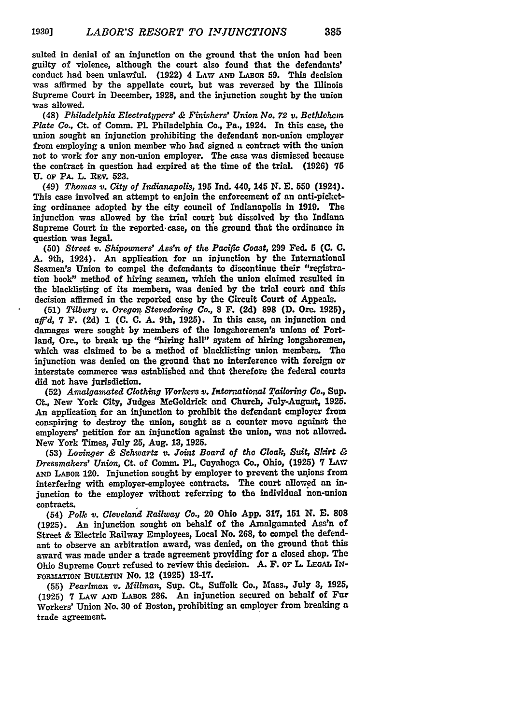suited in denial of an injunction on the ground that the union **had** been guilty of violence, although the court also found that the defendants' conduct had been unlawful. **(1922)** 4 **LAW AND** LABoR **59.** This decision was affirmed **by** the appellate court, but was reversed **by** the Illinois Supreme Court in December, **1928,** and the injunction sought by the union was allowed.

(48) *Philadelphia Electrotypers' & Finishers' Union No. 72 v. Bethlehem Plate Co.,* Ct. of Comm. P1. Philadelphia Co., Pa., 1924. In this case, the union sought an injunction prohibiting the defendant non-union employer from employing a union member who had signed a contract with the union not to work for any non-union employer. The case was dismissed because the contract in question had expired at the time of the trial. **(1926) 75 U. OF** PA. L. REv. **523.**

(49) *Thomas v. City of Indianapolis,* **195 Ind.** 440, 145 **N. E. 550** (1924). This case involved an attempt to enjoin the enforcement of an anti-picketing ordinance adopted **by** the city council of Indianapolis in **1919.** The injunction was allowed **by** the trial court but dissolved **by** the Indiana Supreme Court in the reported-case, on the ground that the ordinance in question was legal.

**(50)** *Street v. Shipowners'* Ass'n *of the Pacif Coast,* **299** Fed. **5 (C. C.** A. 9th, 1924). An application for an injunction by the International Seamen's Union to compel the defendants to discontinue their "registration book" method of hiring seamen, which the union claimed resulted in the blacklisting of its members, was denied by the trial court and this decision affirmed in the reported case **by** the Circuit Court of Appeals.

**(51)** *Tilbury v. Oregon Stevedoring Co.,* 8 **F. (2d) 898 (D.** Ore. **1925),** *aff'd,* **7** F. **(2d)** 1 **(C. C. A.** 9th, **1925).** In this case, an injunction and damages were sought **by** members of the longshoremen's unions **of** Portland, Ore., to break up the "hiring hall" system of hiring longshoremen, which was claimed to be a method of blacklisting union members. The injunction was denied on the ground that no interference with foreign or interstate commerce was established and that therefore the federal courts did not have jurisdiction.

(52) *Amalgamated Clothing Workers v. International Tailoring Co., Sup.* Ct., New York City, Judges McGoldrick and Church, July-August, **1925.** An application for an injunction to prohibit the defendant employer from conspiring to destroy the union, sought as a counter move against the employers' petition for an injunction against the union, was not allowed. New York Times, July **25,** Aug. **13, 1925.**

**(53)** *Lovinger & Schwartz v. Joint Board of the Cloak, Suit, Skirt Dressmakers' Union,* Ct. of Comm. Pl., Cuyahoga Co., Ohio, **(1925) 7 LAW AND** LABoR 120. Injunction sought **by** employer to prevent the ulions from interfering with employer-employee contracts. The court allowed an injunction to the employer without referring to the individual non-union contracts.

(54) *Polk v. Cleveland Railway Co.,* 20 Ohio **App. 317, 151 N.** *E.* **808 (1925).** An injunction sought on behalf of the Amalgamated Ass'n **of** Street & Electric Railway Employees, Local No. **268,** to compel the defendant to observe an arbitration award, was denied, on the ground that this award was made under a trade agreement providing for a closed shop. The Ohio Supreme Court refused to review this decision. A. F. OF L. LEGAL IN-FORMATION BULLETIN NO. 12 (1925) 13-17.

**(55)** *Pearlman v. Millman,* Sup. Ct., Suffolk Co., Blass., July **3, 1925, (1925) 7** LAW **AND** LABOR **286.** An injunction secured on behalf of **Fur** Workers' Union No. **30** of Boston, prohibiting an employer from breaking a trade agreement.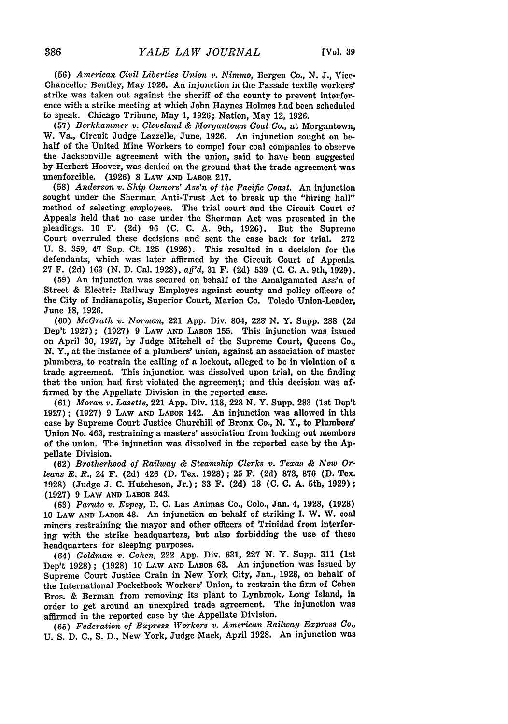**(56)** *American Civil Liberties Union v. Nimmo,* Bergen Co., **N. J.,** Vice-Chancellor Bentley, May 1926. An injunction in the Passaic textile workers' strike was taken out against the sheriff of the county to prevent interference with a strike meeting at which John Haynes Holmes had been scheduled to speak. Chicago Tribune, May 1, 1926; Nation, May 12, 1926.

(57) *Berkhammer v. Cleveland & Morgantown Coal Co.,* at Morgantown, W. Va., Circuit Judge Lazzelle, June, 1926. An injunction sought on behalf of the United Mine Workers to compel four coal companies to observe the Jacksonville agreement with the union, said to have been suggested by Herbert Hoover, was denied on the ground that the trade agreement was unenforcible. (1926) **8** LAW **AND LABOR 217.**

**(58)** *Anderson v. Ship Owners' Ass'n of the Pacific Coast.* An injunction sought under the Sherman Anti-Trust Act to break up the "hiring hall" method of selecting employees. The trial court and the Circuit Court of Appeals held that no case under the Sherman Act was presented in the pleadings. 10 F. (2d) 96 **(C.** C. A. 9th, 1926). But the Supreme Court overruled these decisions and sent the case back for trial. 272 U. **S.** 359, 47 Sup. Ct. 125 (1926). This resulted in a decision for the defendants, which was later affirmed by the Circuit Court of Appeals. 27 F. (2d) 163 **(N.** D. Cal. 1928), *aff'd,* 31 F. (2d) 539 **(C. C.** A. 9th, 1929).

(59) An injunction was secured on behalf of the Amalgamated Ass'n of Street & Electric Railway Employes against county and policy officers of the City of Indianapolis, Superior Court, Marion Co. Toledo Union-Leader, June 18, 1926.

(60) *McGrath v. Norman,* 221 App. Div. 804, 223 N. Y. Supp. **288** (2d Dep't 1927); (1927) 9 LAW **AND LABOR** 155. This injunction was issued on April **30,** 1927, by Judge Mitchell of the Supreme Court, Queens Co., N. Y., at the instance of a plumbers' union, against an association of master plumbers, to restrain the calling of a lockout, alleged to be in violation of a trade agreement. This injunction was dissolved upon trial, on the finding that the union had first violated the agreement; and this decision was **af**firmed by the Appellate Division in the reported case.

(61) *Moran v. Lasette,* 221 App. Div. 118, **223** N. Y. Supp. **283** (1st Dep't 1927); (1927) 9 LAW **AND LABOR** 142. An injunction was allowed in this case by Supreme Court Justice Churchill of Bronx Co., N. Y., to Plumbers' Union No. 463, restraining a masters' association from locking out members of the union. The injunction was dissolved in the reported case by the **Ap**pellate Division.

(62) *Brotherhood of Railway & Steamship Clerks v. Texas & New Orleans R. R.,* 24 F. (2d) 426 (D. Tex. 1928); 25 F. (2d) **873, 876** (D. Tex. 1928) (Judge **J. C.** Hutcheson, Jr.); **33** F. (2d) **13 (C. C. A.** 5th, 1929); (1927) 9 LAW **AND LABOR** 243.

(63) *Paruto v. Espey,* D. **C.** Las Animas Co., Colo., Jan. 4, 1928, (1928) 10 LAW **AND** LABOR 48. An injunction on behalf of striking I. W. W. coal miners restraining the mayor and other officers of Trinidad from interfer**ing** with the strike headquarters, but also forbidding the use of these headquarters for sleeping purposes.

(64) *Goldman v. Cohen,* 222 App. Div. 631, 227 N. Y. Supp. 311 (1st Dep't 1928); (1928) 10 LAW **AND** LABOR 63. An injunction was issued **by** Supreme Court Justice Crain in New York City, Jan., 1928, on behalf of the International Pocketbook Workers' Union, to restrain the firm of Cohen Bros. & Berman from removing its plant to Lynbrook, Long Island, in order to get around an unexpired trade agreement. The injunction was affirmed in the reported case by the Appellate Division.

**(65)** *Federation of Express Workers v. American Railway Express Co.,* U. S. D. C., S. D., New York, Judge Mack, April 1928. An injunction was